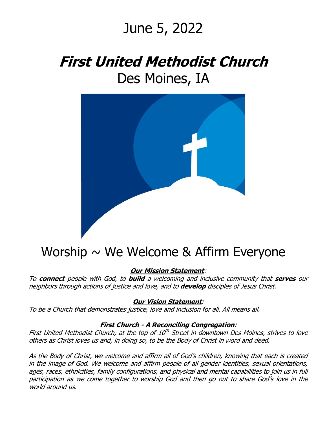# June 5, 2022

# **First United Methodist Church** Des Moines, IA



### Worship  $\sim$  We Welcome & Affirm Everyone

**Our Mission Statement**:

To **connect** people with God, to **build** a welcoming and inclusive community that **serves** our neighbors through actions of justice and love, and to **develop** disciples of Jesus Christ.

#### **Our Vision Statement**:

To be a Church that demonstrates justice, love and inclusion for all. All means all.

#### **First Church - A Reconciling Congregation**:

First United Methodist Church, at the top of 10<sup>th</sup> Street in downtown Des Moines, strives to love others as Christ loves us and, in doing so, to be the Body of Christ in word and deed.

As the Body of Christ, we welcome and affirm all of God's children, knowing that each is created in the image of God. We welcome and affirm people of all gender identities, sexual orientations, ages, races, ethnicities, family configurations, and physical and mental capabilities to join us in full participation as we come together to worship God and then go out to share God's love in the world around us.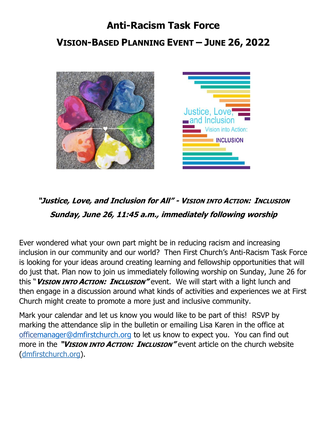## **Anti-Racism Task Force VISION-BASED PLANNING EVENT – JUNE 26, 2022**



### **"Justice, Love, and Inclusion for All" - VISION INTO ACTION: INCLUSION Sunday, June 26, 11:45 a.m., immediately following worship**

Ever wondered what your own part might be in reducing racism and increasing inclusion in our community and our world? Then First Church's Anti-Racism Task Force is looking for your ideas around creating learning and fellowship opportunities that will do just that. Plan now to join us immediately following worship on Sunday, June 26 for this "**VISION INTO ACTION: INCLUSION"** event. We will start with a light lunch and then engage in a discussion around what kinds of activities and experiences we at First Church might create to promote a more just and inclusive community.

Mark your calendar and let us know you would like to be part of this! RSVP by marking the attendance slip in the bulletin or emailing Lisa Karen in the office at offic[emanager@dmfirstchurch.org](mailto:manager@dmfirstchurch.org) to let us know to expect you. You can find out more in the **"VISION INTO ACTION: INCLUSION"** event article on the church website (dmfirstchurch.org).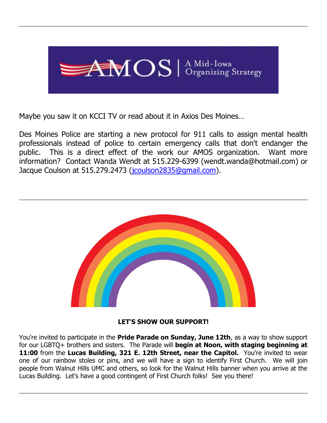

Maybe you saw it on KCCI TV or read about it in Axios Des Moines…

Des Moines Police are starting a new protocol for 911 calls to assign mental health professionals instead of police to certain emergency calls that don't endanger the public. This is a direct effect of the work our AMOS organization. Want more information? Contact Wanda Wendt at 515.229-6399 (wendt.wanda@hotmail.com) or Jacque Coulson at 515.279.2473 [\(jcoulson2835@gmail.com\)](mailto:jcoulson2835@gmail.com).



#### **LET'S SHOW OUR SUPPORT!**

You're invited to participate in the **Pride Parade on Sunday, June 12th**, as a way to show support for our LGBTQ+ brothers and sisters. The Parade will **begin at Noon, with staging beginning at 11:00** from the **Lucas Building, 321 E. 12th Street, near the Capitol.** You're invited to wear one of our rainbow stoles or pins, and we will have a sign to identify First Church. We will join people from Walnut Hills UMC and others, so look for the Walnut Hills banner when you arrive at the Lucas Building. Let's have a good contingent of First Church folks! See you there!